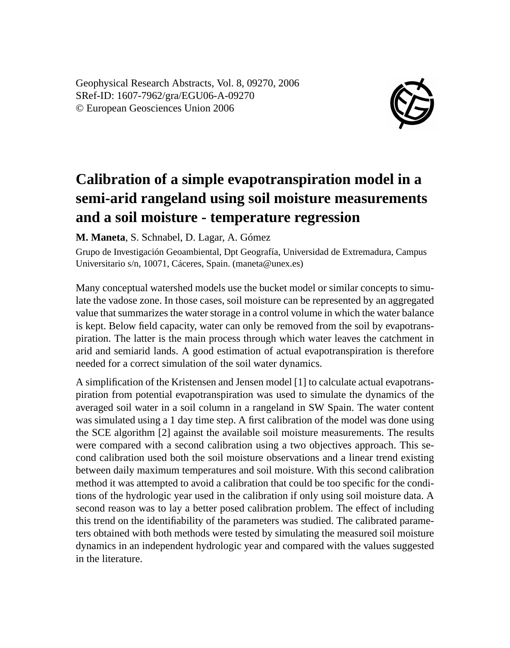Geophysical Research Abstracts, Vol. 8, 09270, 2006 SRef-ID: 1607-7962/gra/EGU06-A-09270 © European Geosciences Union 2006



## **Calibration of a simple evapotranspiration model in a semi-arid rangeland using soil moisture measurements and a soil moisture - temperature regression**

**M. Maneta**, S. Schnabel, D. Lagar, A. Gómez

Grupo de Investigación Geoambiental, Dpt Geografía, Universidad de Extremadura, Campus Universitario s/n, 10071, Cáceres, Spain. (maneta@unex.es)

Many conceptual watershed models use the bucket model or similar concepts to simulate the vadose zone. In those cases, soil moisture can be represented by an aggregated value that summarizes the water storage in a control volume in which the water balance is kept. Below field capacity, water can only be removed from the soil by evapotranspiration. The latter is the main process through which water leaves the catchment in arid and semiarid lands. A good estimation of actual evapotranspiration is therefore needed for a correct simulation of the soil water dynamics.

A simplification of the Kristensen and Jensen model [1] to calculate actual evapotranspiration from potential evapotranspiration was used to simulate the dynamics of the averaged soil water in a soil column in a rangeland in SW Spain. The water content was simulated using a 1 day time step. A first calibration of the model was done using the SCE algorithm [2] against the available soil moisture measurements. The results were compared with a second calibration using a two objectives approach. This second calibration used both the soil moisture observations and a linear trend existing between daily maximum temperatures and soil moisture. With this second calibration method it was attempted to avoid a calibration that could be too specific for the conditions of the hydrologic year used in the calibration if only using soil moisture data. A second reason was to lay a better posed calibration problem. The effect of including this trend on the identifiability of the parameters was studied. The calibrated parameters obtained with both methods were tested by simulating the measured soil moisture dynamics in an independent hydrologic year and compared with the values suggested in the literature.